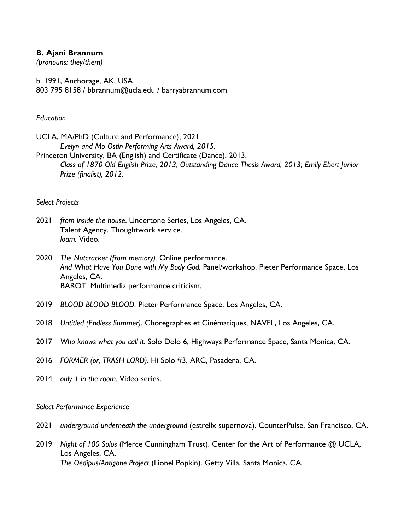## **B. Ajani Brannum**

*(pronouns: they/them)*

b. 1991, Anchorage, AK, USA 803 795 8158 / bbrannum@ucla.edu / barryabrannum.com

## *Education*

UCLA, MA/PhD (Culture and Performance), 2021. *Evelyn and Mo Ostin Performing Arts Award, 2015.*

Princeton University, BA (English) and Certificate (Dance), 2013. *Class of 1870 Old English Prize, 2013; Outstanding Dance Thesis Award, 2013; Emily Ebert Junior Prize (finalist), 2012.*

## *Select Projects*

- 2021 *from inside the house*. Undertone Series, Los Angeles, CA. Talent Agency. Thoughtwork service. *loam.* Video.
- 2020 *The Nutcracker (from memory).* Online performance. *And What Have You Done with My Body God.* Panel/workshop. Pieter Performance Space, Los Angeles, CA. BAROT*.* Multimedia performance criticism.
- 2019 *BLOOD BLOOD BLOOD.* Pieter Performance Space, Los Angeles, CA.
- 2018 *Untitled (Endless Summer)*. Chorégraphes et Cinématiques, NAVEL, Los Angeles, CA.
- 2017 *Who knows what you call it.* Solo Dolo 6, Highways Performance Space, Santa Monica, CA.
- 2016 *FORMER (or, TRASH LORD).* Hi Solo #3, ARC, Pasadena, CA.
- 2014 *only 1 in the room.* Video series.

## *Select Performance Experience*

- 2021 *underground underneath the underground* (estrellx supernova). CounterPulse, San Francisco, CA.
- 2019 *Night of 100 Solos* (Merce Cunningham Trust). Center for the Art of Performance @ UCLA, Los Angeles, CA. *The Oedipus/Antigone Project* (Lionel Popkin). Getty Villa, Santa Monica, CA.